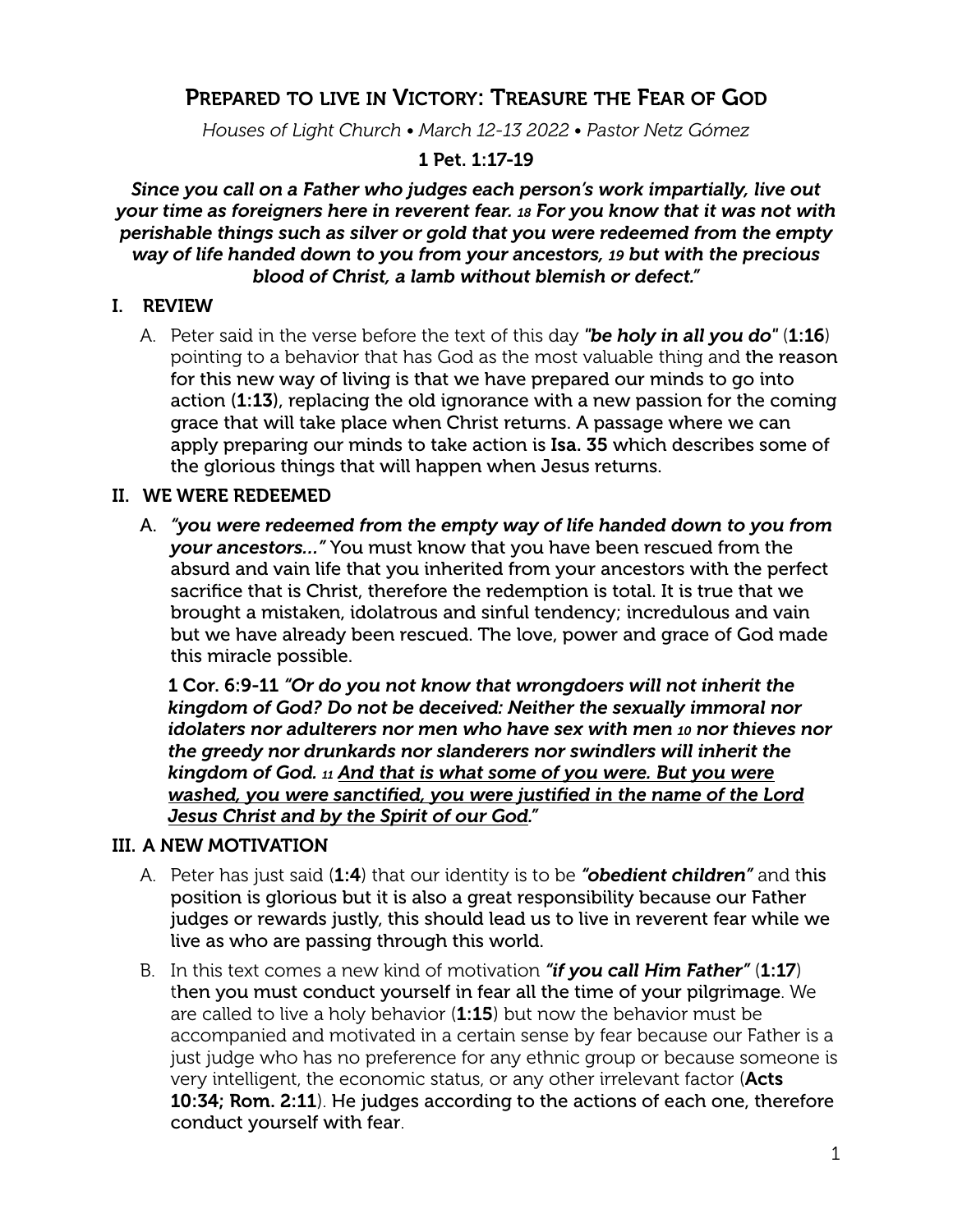# PREPARED TO LIVE IN VICTORY: TREASURE THE FEAR OF GOD

*Houses of Light Church • March 12-13 2022 • Pastor Netz Gómez*

## 1 Pet. 1:17-19

*Since you call on a Father who judges each person's work impartially, live out your time as foreigners here in reverent fear. 18 For you know that it was not with perishable things such as silver or gold that you were redeemed from the empty way of life handed down to you from your ancestors, 19 but with the precious blood of Christ, a lamb without blemish or defect."*

## I. REVIEW

A. Peter said in the verse before the text of this day *"be holy in all you do"* (1:16) pointing to a behavior that has God as the most valuable thing and the reason for this new way of living is that we have prepared our minds to go into action (1:13), replacing the old ignorance with a new passion for the coming grace that will take place when Christ returns. A passage where we can apply preparing our minds to take action is Isa. 35 which describes some of the glorious things that will happen when Jesus returns.

## II. WE WERE REDEEMED

A. *"you were redeemed from the empty way of life handed down to you from your ancestors…"* You must know that you have been rescued from the absurd and vain life that you inherited from your ancestors with the perfect sacrifice that is Christ, therefore the redemption is total. It is true that we brought a mistaken, idolatrous and sinful tendency; incredulous and vain but we have already been rescued. The love, power and grace of God made this miracle possible.

1 Cor. 6:9-11 *"Or do you not know that wrongdoers will not inherit the kingdom of God? Do not be deceived: Neither the sexually immoral nor idolaters nor adulterers nor men who have sex with men 10 nor thieves nor the greedy nor drunkards nor slanderers nor swindlers will inherit the kingdom of God. 11 And that is what some of you were. But you were washed, you were sanctified, you were justified in the name of the Lord Jesus Christ and by the Spirit of our God."*

## III. A NEW MOTIVATION

- A. Peter has just said (1:4) that our identity is to be *"obedient children"* and this position is glorious but it is also a great responsibility because our Father judges or rewards justly, this should lead us to live in reverent fear while we live as who are passing through this world.
- B. In this text comes a new kind of motivation *"if you call Him Father"* (1:17) then you must conduct yourself in fear all the time of your pilgrimage. We are called to live a holy behavior  $(1:15)$  but now the behavior must be accompanied and motivated in a certain sense by fear because our Father is a just judge who has no preference for any ethnic group or because someone is very intelligent, the economic status, or any other irrelevant factor (Acts 10:34; Rom. 2:11). He judges according to the actions of each one, therefore conduct yourself with fear.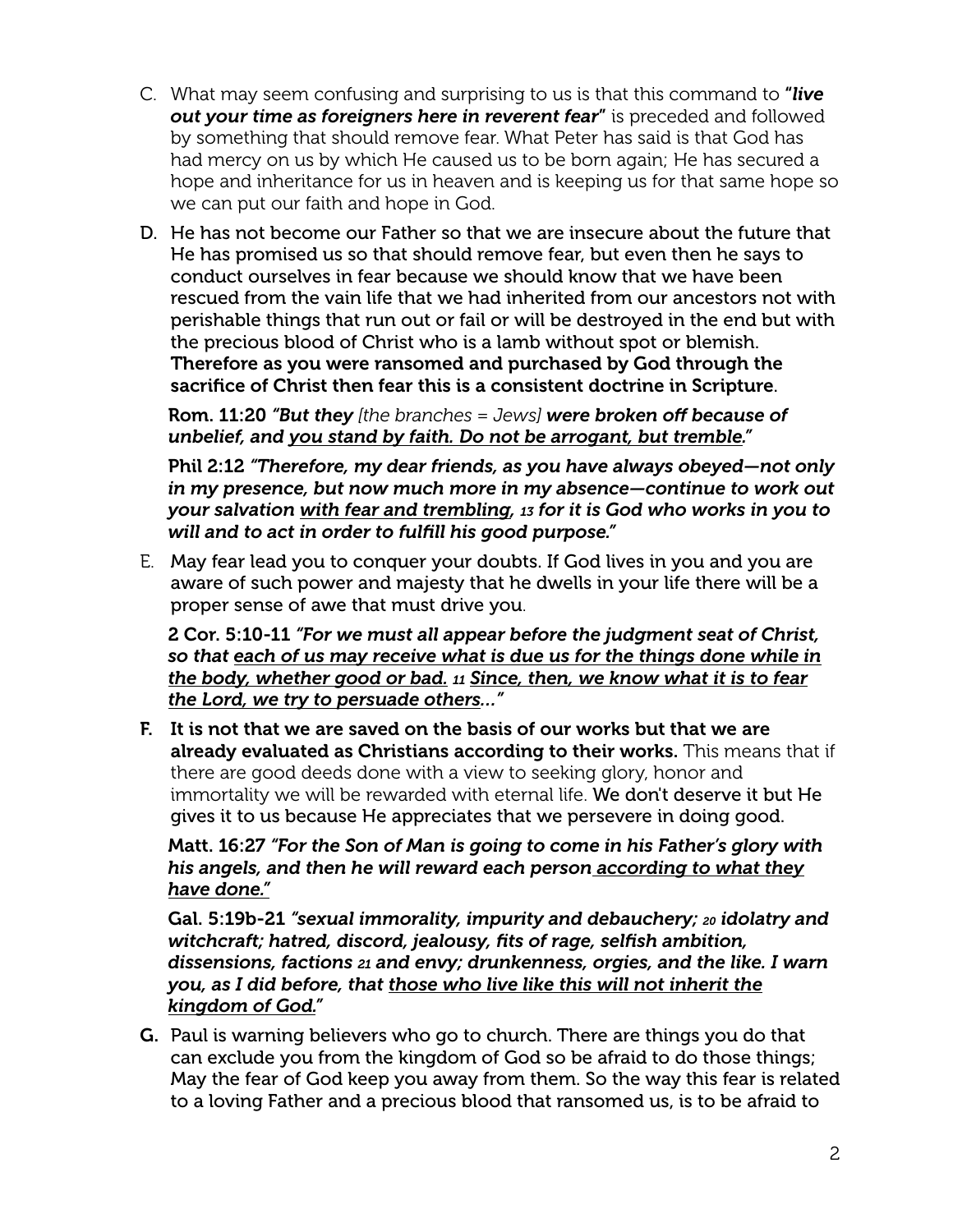- C. What may seem confusing and surprising to us is that this command to "*live out your time as foreigners here in reverent fear*" is preceded and followed by something that should remove fear. What Peter has said is that God has had mercy on us by which He caused us to be born again; He has secured a hope and inheritance for us in heaven and is keeping us for that same hope so we can put our faith and hope in God.
- D. He has not become our Father so that we are insecure about the future that He has promised us so that should remove fear, but even then he says to conduct ourselves in fear because we should know that we have been rescued from the vain life that we had inherited from our ancestors not with perishable things that run out or fail or will be destroyed in the end but with the precious blood of Christ who is a lamb without spot or blemish. Therefore as you were ransomed and purchased by God through the sacrifice of Christ then fear this is a consistent doctrine in Scripture.

Rom. 11:20 *"But they [the branches = Jews] were broken off because of unbelief, and you stand by faith. Do not be arrogant, but tremble."*

Phil 2:12 *"Therefore, my dear friends, as you have always obeyed—not only in my presence, but now much more in my absence—continue to work out your salvation with fear and trembling, 13 for it is God who works in you to will and to act in order to fulfill his good purpose."*

E. May fear lead you to conquer your doubts. If God lives in you and you are aware of such power and majesty that he dwells in your life there will be a proper sense of awe that must drive you.

2 Cor. 5:10-11 *"For we must all appear before the judgment seat of Christ, so that each of us may receive what is due us for the things done while in the body, whether good or bad. <sup>11</sup> Since, then, we know what it is to fear the Lord, we try to persuade others…"*

F. It is not that we are saved on the basis of our works but that we are already evaluated as Christians according to their works. This means that if there are good deeds done with a view to seeking glory, honor and immortality we will be rewarded with eternal life. We don't deserve it but He gives it to us because He appreciates that we persevere in doing good.

Matt. 16:27 *"For the Son of Man is going to come in his Father's glory with his angels, and then he will reward each person according to what they have done."*

Gal. 5:19b-21 *"sexual immorality, impurity and debauchery; 20 idolatry and witchcraft; hatred, discord, jealousy, fits of rage, selfish ambition, dissensions, factions 21 and envy; drunkenness, orgies, and the like. I warn you, as I did before, that those who live like this will not inherit the kingdom of God."*

G. Paul is warning believers who go to church. There are things you do that can exclude you from the kingdom of God so be afraid to do those things; May the fear of God keep you away from them. So the way this fear is related to a loving Father and a precious blood that ransomed us, is to be afraid to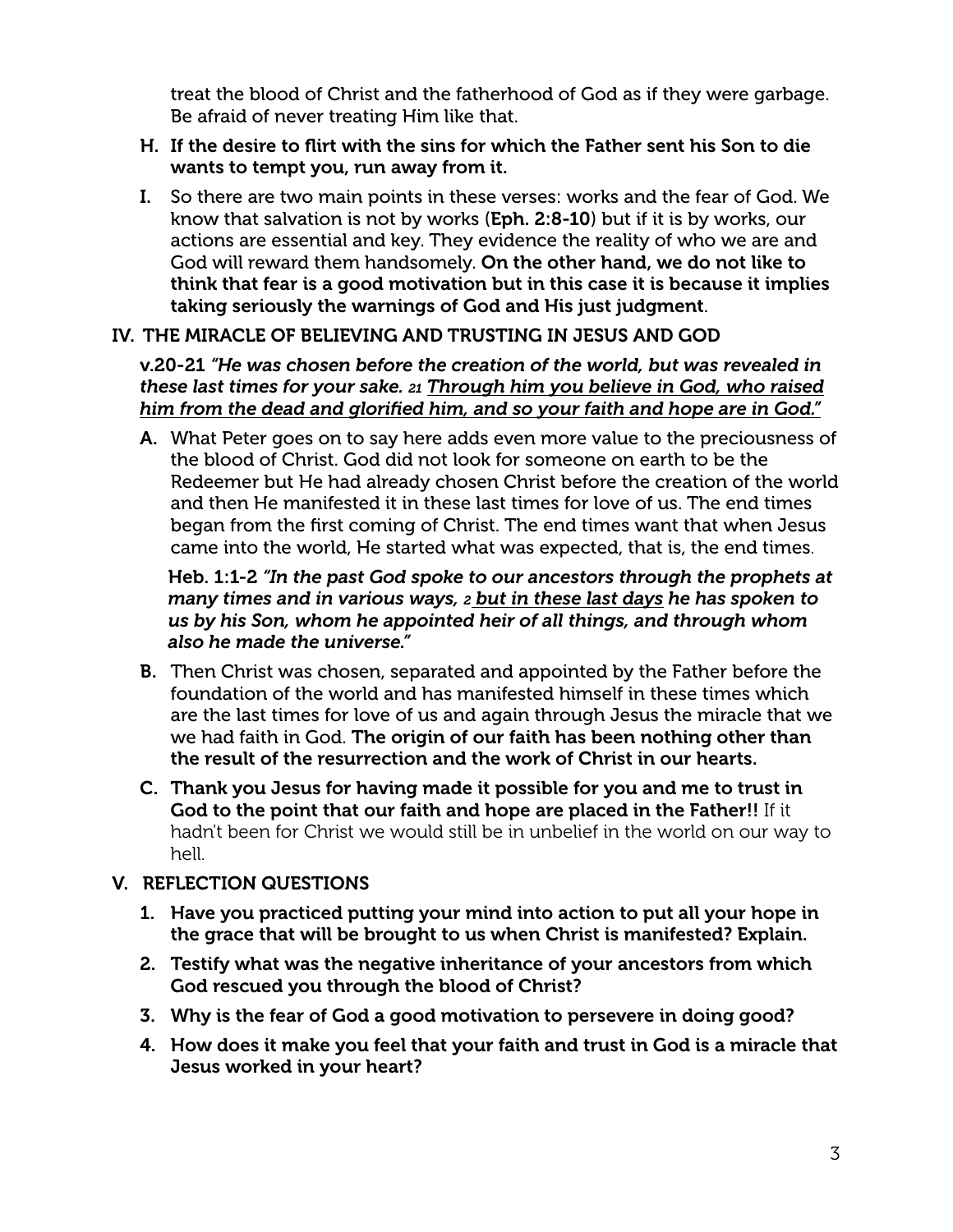treat the blood of Christ and the fatherhood of God as if they were garbage. Be afraid of never treating Him like that.

#### H. If the desire to flirt with the sins for which the Father sent his Son to die wants to tempt you, run away from it.

I. So there are two main points in these verses: works and the fear of God. We know that salvation is not by works (Eph. 2:8-10) but if it is by works, our actions are essential and key. They evidence the reality of who we are and God will reward them handsomely. On the other hand, we do not like to think that fear is a good motivation but in this case it is because it implies taking seriously the warnings of God and His just judgment.

## IV. THE MIRACLE OF BELIEVING AND TRUSTING IN JESUS AND GOD

v.20-21 *"He was chosen before the creation of the world, but was revealed in these last times for your sake. 21 Through him you believe in God, who raised him from the dead and glorified him, and so your faith and hope are in God."*

A. What Peter goes on to say here adds even more value to the preciousness of the blood of Christ. God did not look for someone on earth to be the Redeemer but He had already chosen Christ before the creation of the world and then He manifested it in these last times for love of us. The end times began from the first coming of Christ. The end times want that when Jesus came into the world, He started what was expected, that is, the end times.

#### Heb. 1:1-2 *"In the past God spoke to our ancestors through the prophets at many times and in various ways, 2 but in these last days he has spoken to us by his Son, whom he appointed heir of all things, and through whom also he made the universe."*

- B. Then Christ was chosen, separated and appointed by the Father before the foundation of the world and has manifested himself in these times which are the last times for love of us and again through Jesus the miracle that we we had faith in God. The origin of our faith has been nothing other than the result of the resurrection and the work of Christ in our hearts.
- C. Thank you Jesus for having made it possible for you and me to trust in God to the point that our faith and hope are placed in the Father!! If it hadn't been for Christ we would still be in unbelief in the world on our way to hell.

## V. REFLECTION QUESTIONS

- 1. Have you practiced putting your mind into action to put all your hope in the grace that will be brought to us when Christ is manifested? Explain.
- 2. Testify what was the negative inheritance of your ancestors from which God rescued you through the blood of Christ?
- 3. Why is the fear of God a good motivation to persevere in doing good?
- 4. How does it make you feel that your faith and trust in God is a miracle that Jesus worked in your heart?